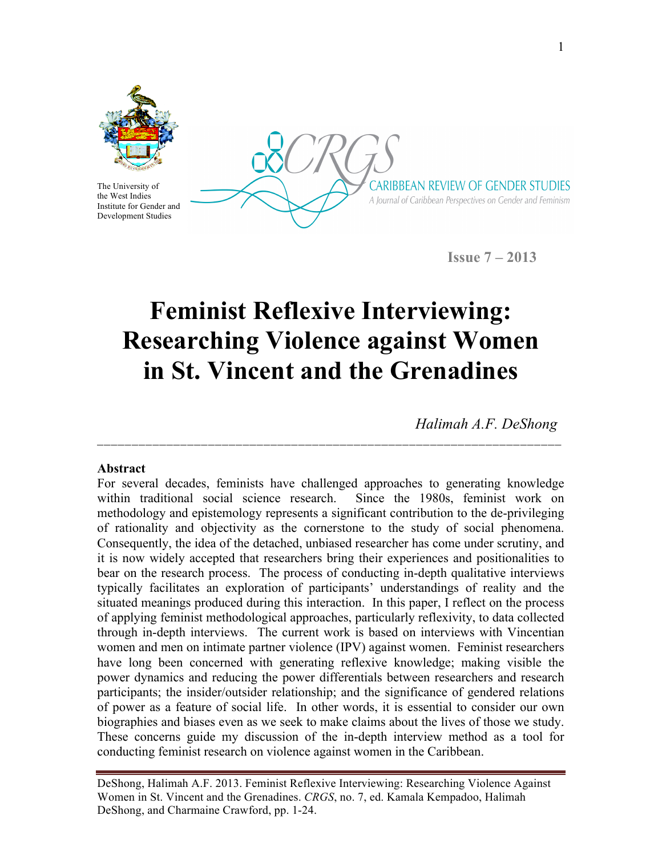

The University of the West Indies Institute for Gender and Development Studies

CARIBBEAN REVIEW OF GENDER STUDIES A Journal of Caribbean Perspectives on Gender and Feminism

**Issue 7 – 2013**

# **Feminist Reflexive Interviewing: Researching Violence against Women in St. Vincent and the Grenadines**

**\_\_\_\_\_\_\_\_\_\_\_\_\_\_\_\_\_\_\_\_\_\_\_\_\_\_\_\_\_\_\_\_\_\_\_\_\_\_\_\_\_\_\_\_\_\_\_\_\_\_\_\_\_\_\_\_\_\_\_\_\_\_\_\_\_\_\_** 

*Halimah A.F. DeShong*

### **Abstract**

For several decades, feminists have challenged approaches to generating knowledge within traditional social science research. Since the 1980s, feminist work on methodology and epistemology represents a significant contribution to the de-privileging of rationality and objectivity as the cornerstone to the study of social phenomena. Consequently, the idea of the detached, unbiased researcher has come under scrutiny, and it is now widely accepted that researchers bring their experiences and positionalities to bear on the research process. The process of conducting in-depth qualitative interviews typically facilitates an exploration of participants' understandings of reality and the situated meanings produced during this interaction. In this paper, I reflect on the process of applying feminist methodological approaches, particularly reflexivity, to data collected through in-depth interviews. The current work is based on interviews with Vincentian women and men on intimate partner violence (IPV) against women. Feminist researchers have long been concerned with generating reflexive knowledge; making visible the power dynamics and reducing the power differentials between researchers and research participants; the insider/outsider relationship; and the significance of gendered relations of power as a feature of social life. In other words, it is essential to consider our own biographies and biases even as we seek to make claims about the lives of those we study. These concerns guide my discussion of the in-depth interview method as a tool for conducting feminist research on violence against women in the Caribbean.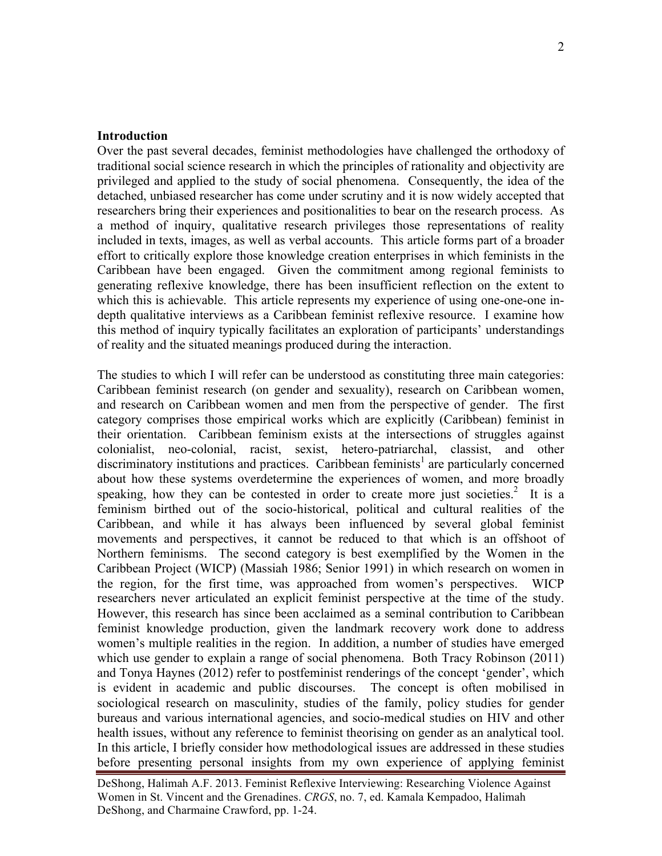#### **Introduction**

Over the past several decades, feminist methodologies have challenged the orthodoxy of traditional social science research in which the principles of rationality and objectivity are privileged and applied to the study of social phenomena. Consequently, the idea of the detached, unbiased researcher has come under scrutiny and it is now widely accepted that researchers bring their experiences and positionalities to bear on the research process. As a method of inquiry, qualitative research privileges those representations of reality included in texts, images, as well as verbal accounts. This article forms part of a broader effort to critically explore those knowledge creation enterprises in which feminists in the Caribbean have been engaged. Given the commitment among regional feminists to generating reflexive knowledge, there has been insufficient reflection on the extent to which this is achievable. This article represents my experience of using one-one-one indepth qualitative interviews as a Caribbean feminist reflexive resource. I examine how this method of inquiry typically facilitates an exploration of participants' understandings of reality and the situated meanings produced during the interaction.

The studies to which I will refer can be understood as constituting three main categories: Caribbean feminist research (on gender and sexuality), research on Caribbean women, and research on Caribbean women and men from the perspective of gender. The first category comprises those empirical works which are explicitly (Caribbean) feminist in their orientation. Caribbean feminism exists at the intersections of struggles against colonialist, neo-colonial, racist, sexist, hetero-patriarchal, classist, and other discriminatory institutions and practices. Caribbean feminists<sup>1</sup> are particularly concerned about how these systems overdetermine the experiences of women, and more broadly speaking, how they can be contested in order to create more just societies.<sup>2</sup> It is a feminism birthed out of the socio-historical, political and cultural realities of the Caribbean, and while it has always been influenced by several global feminist movements and perspectives, it cannot be reduced to that which is an offshoot of Northern feminisms. The second category is best exemplified by the Women in the Caribbean Project (WICP) (Massiah 1986; Senior 1991) in which research on women in the region, for the first time, was approached from women's perspectives. WICP researchers never articulated an explicit feminist perspective at the time of the study. However, this research has since been acclaimed as a seminal contribution to Caribbean feminist knowledge production, given the landmark recovery work done to address women's multiple realities in the region. In addition, a number of studies have emerged which use gender to explain a range of social phenomena. Both Tracy Robinson (2011) and Tonya Haynes (2012) refer to postfeminist renderings of the concept 'gender', which is evident in academic and public discourses. The concept is often mobilised in sociological research on masculinity, studies of the family, policy studies for gender bureaus and various international agencies, and socio-medical studies on HIV and other health issues, without any reference to feminist theorising on gender as an analytical tool. In this article, I briefly consider how methodological issues are addressed in these studies before presenting personal insights from my own experience of applying feminist

DeShong, Halimah A.F. 2013. Feminist Reflexive Interviewing: Researching Violence Against Women in St. Vincent and the Grenadines. *CRGS*, no. 7, ed. Kamala Kempadoo, Halimah DeShong, and Charmaine Crawford, pp. 1-24.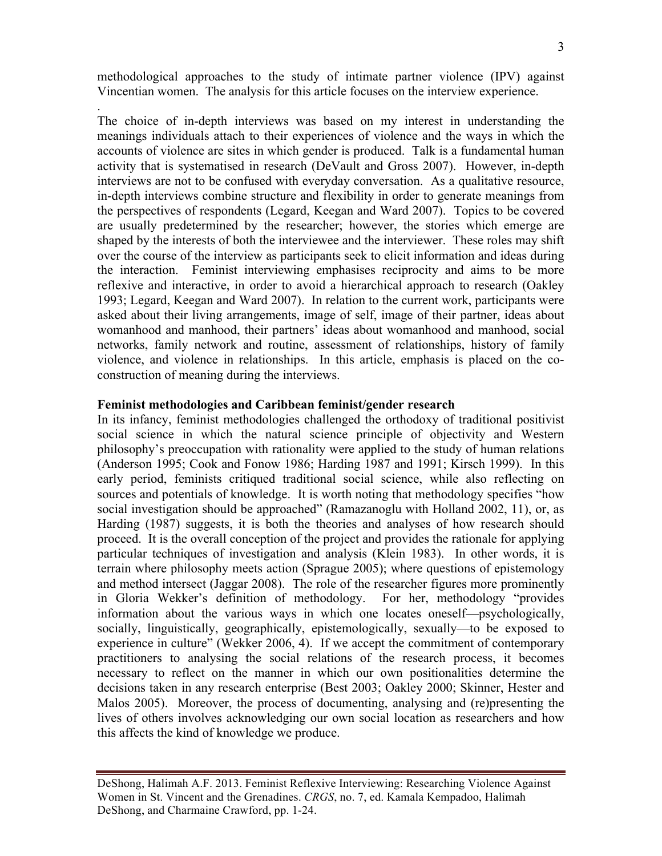methodological approaches to the study of intimate partner violence (IPV) against Vincentian women. The analysis for this article focuses on the interview experience.

.

The choice of in-depth interviews was based on my interest in understanding the meanings individuals attach to their experiences of violence and the ways in which the accounts of violence are sites in which gender is produced. Talk is a fundamental human activity that is systematised in research (DeVault and Gross 2007). However, in-depth interviews are not to be confused with everyday conversation. As a qualitative resource, in-depth interviews combine structure and flexibility in order to generate meanings from the perspectives of respondents (Legard, Keegan and Ward 2007). Topics to be covered are usually predetermined by the researcher; however, the stories which emerge are shaped by the interests of both the interviewee and the interviewer. These roles may shift over the course of the interview as participants seek to elicit information and ideas during the interaction. Feminist interviewing emphasises reciprocity and aims to be more reflexive and interactive, in order to avoid a hierarchical approach to research (Oakley 1993; Legard, Keegan and Ward 2007). In relation to the current work, participants were asked about their living arrangements, image of self, image of their partner, ideas about womanhood and manhood, their partners' ideas about womanhood and manhood, social networks, family network and routine, assessment of relationships, history of family violence, and violence in relationships. In this article, emphasis is placed on the coconstruction of meaning during the interviews.

#### **Feminist methodologies and Caribbean feminist/gender research**

In its infancy, feminist methodologies challenged the orthodoxy of traditional positivist social science in which the natural science principle of objectivity and Western philosophy's preoccupation with rationality were applied to the study of human relations (Anderson 1995; Cook and Fonow 1986; Harding 1987 and 1991; Kirsch 1999). In this early period, feminists critiqued traditional social science, while also reflecting on sources and potentials of knowledge. It is worth noting that methodology specifies "how social investigation should be approached" (Ramazanoglu with Holland 2002, 11), or, as Harding (1987) suggests, it is both the theories and analyses of how research should proceed. It is the overall conception of the project and provides the rationale for applying particular techniques of investigation and analysis (Klein 1983). In other words, it is terrain where philosophy meets action (Sprague 2005); where questions of epistemology and method intersect (Jaggar 2008). The role of the researcher figures more prominently in Gloria Wekker's definition of methodology. For her, methodology "provides information about the various ways in which one locates oneself—psychologically, socially, linguistically, geographically, epistemologically, sexually—to be exposed to experience in culture" (Wekker 2006, 4). If we accept the commitment of contemporary practitioners to analysing the social relations of the research process, it becomes necessary to reflect on the manner in which our own positionalities determine the decisions taken in any research enterprise (Best 2003; Oakley 2000; Skinner, Hester and Malos 2005). Moreover, the process of documenting, analysing and (re)presenting the lives of others involves acknowledging our own social location as researchers and how this affects the kind of knowledge we produce.

DeShong, Halimah A.F. 2013. Feminist Reflexive Interviewing: Researching Violence Against Women in St. Vincent and the Grenadines. *CRGS*, no. 7, ed. Kamala Kempadoo, Halimah DeShong, and Charmaine Crawford, pp. 1-24.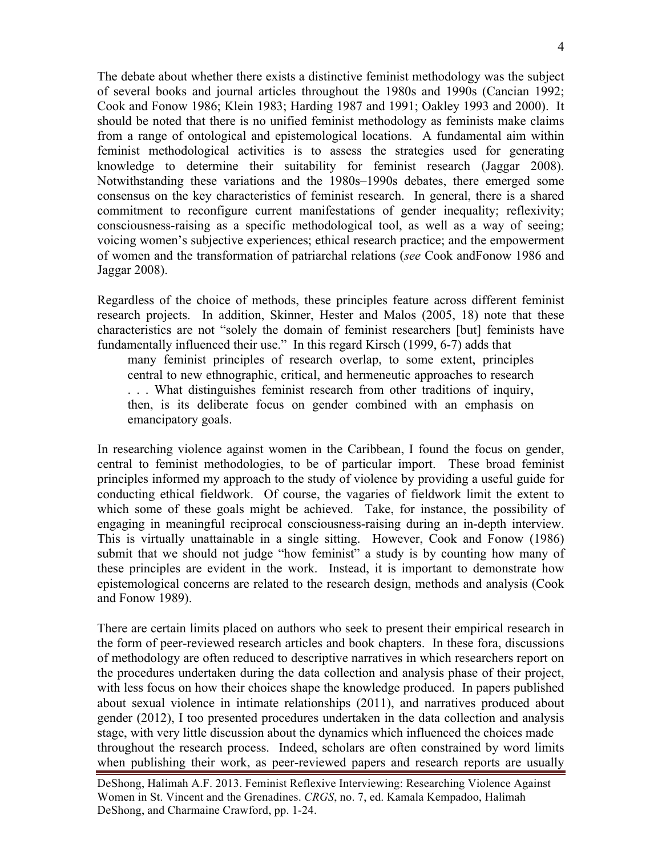The debate about whether there exists a distinctive feminist methodology was the subject of several books and journal articles throughout the 1980s and 1990s (Cancian 1992; Cook and Fonow 1986; Klein 1983; Harding 1987 and 1991; Oakley 1993 and 2000). It should be noted that there is no unified feminist methodology as feminists make claims from a range of ontological and epistemological locations. A fundamental aim within feminist methodological activities is to assess the strategies used for generating knowledge to determine their suitability for feminist research (Jaggar 2008). Notwithstanding these variations and the 1980s–1990s debates, there emerged some consensus on the key characteristics of feminist research. In general, there is a shared commitment to reconfigure current manifestations of gender inequality; reflexivity; consciousness-raising as a specific methodological tool, as well as a way of seeing; voicing women's subjective experiences; ethical research practice; and the empowerment of women and the transformation of patriarchal relations (*see* Cook andFonow 1986 and Jaggar 2008).

Regardless of the choice of methods, these principles feature across different feminist research projects. In addition, Skinner, Hester and Malos (2005, 18) note that these characteristics are not "solely the domain of feminist researchers [but] feminists have fundamentally influenced their use." In this regard Kirsch (1999, 6-7) adds that

many feminist principles of research overlap, to some extent, principles central to new ethnographic, critical, and hermeneutic approaches to research . . . What distinguishes feminist research from other traditions of inquiry, then, is its deliberate focus on gender combined with an emphasis on emancipatory goals.

In researching violence against women in the Caribbean, I found the focus on gender, central to feminist methodologies, to be of particular import. These broad feminist principles informed my approach to the study of violence by providing a useful guide for conducting ethical fieldwork. Of course, the vagaries of fieldwork limit the extent to which some of these goals might be achieved. Take, for instance, the possibility of engaging in meaningful reciprocal consciousness-raising during an in-depth interview. This is virtually unattainable in a single sitting. However, Cook and Fonow (1986) submit that we should not judge "how feminist" a study is by counting how many of these principles are evident in the work. Instead, it is important to demonstrate how epistemological concerns are related to the research design, methods and analysis (Cook and Fonow 1989).

There are certain limits placed on authors who seek to present their empirical research in the form of peer-reviewed research articles and book chapters. In these fora, discussions of methodology are often reduced to descriptive narratives in which researchers report on the procedures undertaken during the data collection and analysis phase of their project, with less focus on how their choices shape the knowledge produced. In papers published about sexual violence in intimate relationships (2011), and narratives produced about gender (2012), I too presented procedures undertaken in the data collection and analysis stage, with very little discussion about the dynamics which influenced the choices made throughout the research process. Indeed, scholars are often constrained by word limits when publishing their work, as peer-reviewed papers and research reports are usually

DeShong, Halimah A.F. 2013. Feminist Reflexive Interviewing: Researching Violence Against Women in St. Vincent and the Grenadines. *CRGS*, no. 7, ed. Kamala Kempadoo, Halimah DeShong, and Charmaine Crawford, pp. 1-24.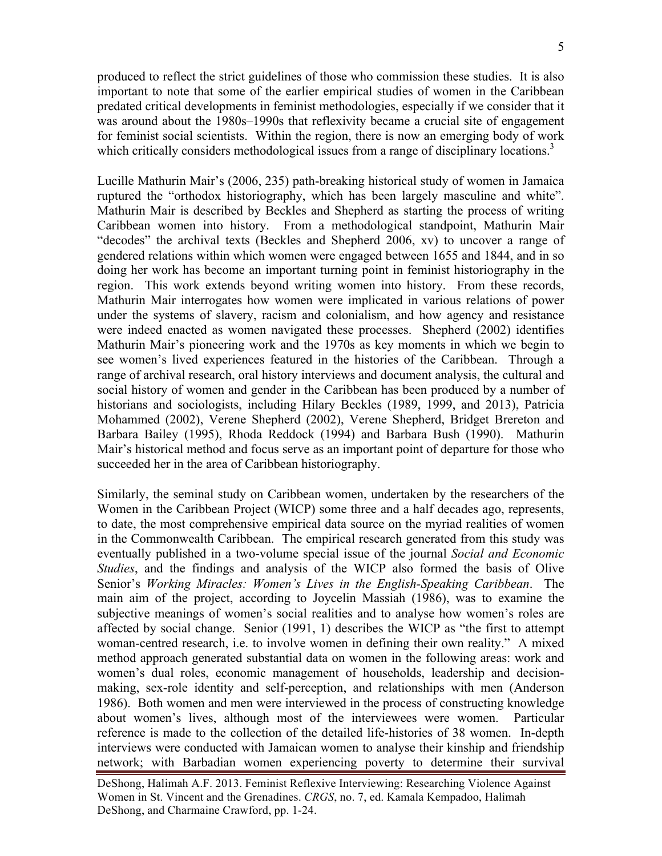produced to reflect the strict guidelines of those who commission these studies. It is also important to note that some of the earlier empirical studies of women in the Caribbean predated critical developments in feminist methodologies, especially if we consider that it was around about the 1980s–1990s that reflexivity became a crucial site of engagement for feminist social scientists. Within the region, there is now an emerging body of work which critically considers methodological issues from a range of disciplinary locations.<sup>3</sup>

Lucille Mathurin Mair's (2006, 235) path-breaking historical study of women in Jamaica ruptured the "orthodox historiography, which has been largely masculine and white". Mathurin Mair is described by Beckles and Shepherd as starting the process of writing Caribbean women into history. From a methodological standpoint, Mathurin Mair "decodes" the archival texts (Beckles and Shepherd 2006, xv) to uncover a range of gendered relations within which women were engaged between 1655 and 1844, and in so doing her work has become an important turning point in feminist historiography in the region. This work extends beyond writing women into history. From these records, Mathurin Mair interrogates how women were implicated in various relations of power under the systems of slavery, racism and colonialism, and how agency and resistance were indeed enacted as women navigated these processes. Shepherd (2002) identifies Mathurin Mair's pioneering work and the 1970s as key moments in which we begin to see women's lived experiences featured in the histories of the Caribbean. Through a range of archival research, oral history interviews and document analysis, the cultural and social history of women and gender in the Caribbean has been produced by a number of historians and sociologists, including Hilary Beckles (1989, 1999, and 2013), Patricia Mohammed (2002), Verene Shepherd (2002), Verene Shepherd, Bridget Brereton and Barbara Bailey (1995), Rhoda Reddock (1994) and Barbara Bush (1990). Mathurin Mair's historical method and focus serve as an important point of departure for those who succeeded her in the area of Caribbean historiography.

Similarly, the seminal study on Caribbean women, undertaken by the researchers of the Women in the Caribbean Project (WICP) some three and a half decades ago, represents, to date, the most comprehensive empirical data source on the myriad realities of women in the Commonwealth Caribbean. The empirical research generated from this study was eventually published in a two-volume special issue of the journal *Social and Economic Studies*, and the findings and analysis of the WICP also formed the basis of Olive Senior's *Working Miracles: Women's Lives in the English-Speaking Caribbean*. The main aim of the project, according to Joycelin Massiah (1986), was to examine the subjective meanings of women's social realities and to analyse how women's roles are affected by social change. Senior (1991, 1) describes the WICP as "the first to attempt woman-centred research, i.e. to involve women in defining their own reality." A mixed method approach generated substantial data on women in the following areas: work and women's dual roles, economic management of households, leadership and decisionmaking, sex-role identity and self-perception, and relationships with men (Anderson 1986). Both women and men were interviewed in the process of constructing knowledge about women's lives, although most of the interviewees were women. Particular reference is made to the collection of the detailed life-histories of 38 women. In-depth interviews were conducted with Jamaican women to analyse their kinship and friendship network; with Barbadian women experiencing poverty to determine their survival

DeShong, Halimah A.F. 2013. Feminist Reflexive Interviewing: Researching Violence Against Women in St. Vincent and the Grenadines. *CRGS*, no. 7, ed. Kamala Kempadoo, Halimah DeShong, and Charmaine Crawford, pp. 1-24.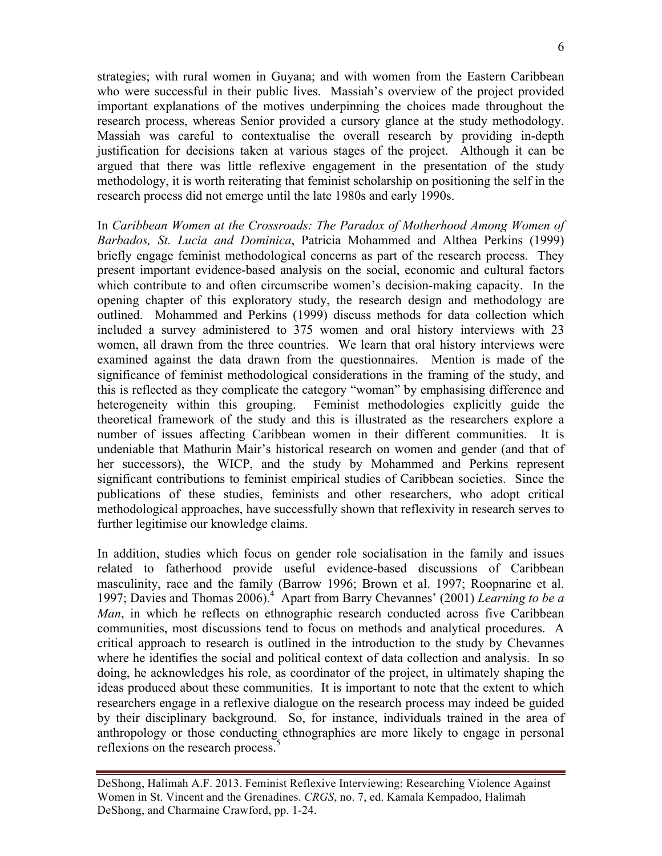strategies; with rural women in Guyana; and with women from the Eastern Caribbean who were successful in their public lives. Massiah's overview of the project provided important explanations of the motives underpinning the choices made throughout the research process, whereas Senior provided a cursory glance at the study methodology. Massiah was careful to contextualise the overall research by providing in-depth justification for decisions taken at various stages of the project. Although it can be argued that there was little reflexive engagement in the presentation of the study methodology, it is worth reiterating that feminist scholarship on positioning the self in the research process did not emerge until the late 1980s and early 1990s.

In *Caribbean Women at the Crossroads: The Paradox of Motherhood Among Women of Barbados, St. Lucia and Dominica*, Patricia Mohammed and Althea Perkins (1999) briefly engage feminist methodological concerns as part of the research process. They present important evidence-based analysis on the social, economic and cultural factors which contribute to and often circumscribe women's decision-making capacity. In the opening chapter of this exploratory study, the research design and methodology are outlined. Mohammed and Perkins (1999) discuss methods for data collection which included a survey administered to 375 women and oral history interviews with 23 women, all drawn from the three countries. We learn that oral history interviews were examined against the data drawn from the questionnaires. Mention is made of the significance of feminist methodological considerations in the framing of the study, and this is reflected as they complicate the category "woman" by emphasising difference and heterogeneity within this grouping. Feminist methodologies explicitly guide the theoretical framework of the study and this is illustrated as the researchers explore a number of issues affecting Caribbean women in their different communities. It is undeniable that Mathurin Mair's historical research on women and gender (and that of her successors), the WICP, and the study by Mohammed and Perkins represent significant contributions to feminist empirical studies of Caribbean societies. Since the publications of these studies, feminists and other researchers, who adopt critical methodological approaches, have successfully shown that reflexivity in research serves to further legitimise our knowledge claims.

In addition, studies which focus on gender role socialisation in the family and issues related to fatherhood provide useful evidence-based discussions of Caribbean masculinity, race and the family (Barrow 1996; Brown et al. 1997; Roopnarine et al. 1997; Davies and Thomas 2006).4 Apart from Barry Chevannes' (2001) *Learning to be a Man*, in which he reflects on ethnographic research conducted across five Caribbean communities, most discussions tend to focus on methods and analytical procedures. A critical approach to research is outlined in the introduction to the study by Chevannes where he identifies the social and political context of data collection and analysis. In so doing, he acknowledges his role, as coordinator of the project, in ultimately shaping the ideas produced about these communities. It is important to note that the extent to which researchers engage in a reflexive dialogue on the research process may indeed be guided by their disciplinary background. So, for instance, individuals trained in the area of anthropology or those conducting ethnographies are more likely to engage in personal reflexions on the research process.<sup>5</sup>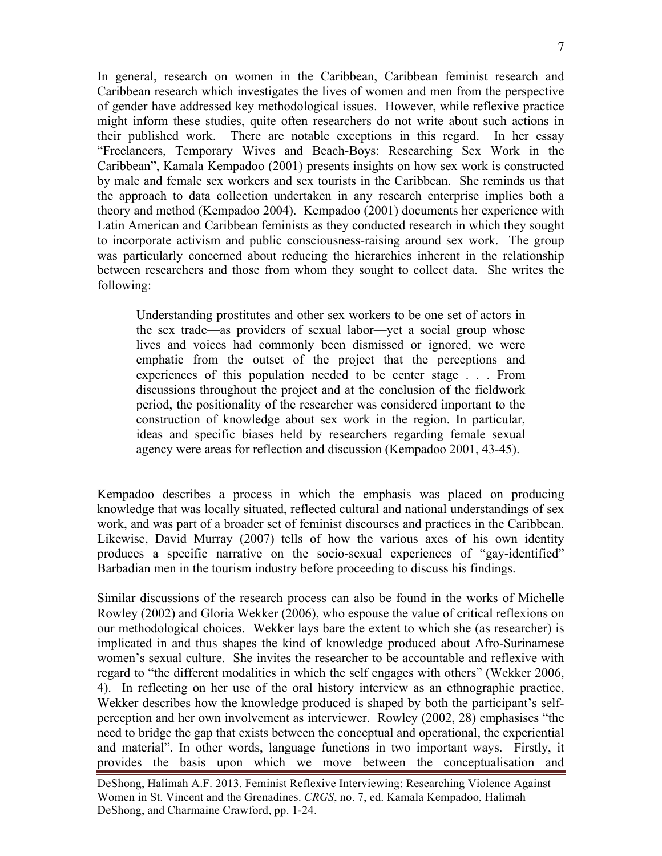In general, research on women in the Caribbean, Caribbean feminist research and Caribbean research which investigates the lives of women and men from the perspective of gender have addressed key methodological issues. However, while reflexive practice might inform these studies, quite often researchers do not write about such actions in their published work. There are notable exceptions in this regard. In her essay "Freelancers, Temporary Wives and Beach-Boys: Researching Sex Work in the Caribbean", Kamala Kempadoo (2001) presents insights on how sex work is constructed by male and female sex workers and sex tourists in the Caribbean. She reminds us that the approach to data collection undertaken in any research enterprise implies both a theory and method (Kempadoo 2004). Kempadoo (2001) documents her experience with Latin American and Caribbean feminists as they conducted research in which they sought to incorporate activism and public consciousness-raising around sex work. The group was particularly concerned about reducing the hierarchies inherent in the relationship between researchers and those from whom they sought to collect data. She writes the following:

Understanding prostitutes and other sex workers to be one set of actors in the sex trade—as providers of sexual labor—yet a social group whose lives and voices had commonly been dismissed or ignored, we were emphatic from the outset of the project that the perceptions and experiences of this population needed to be center stage . . . From discussions throughout the project and at the conclusion of the fieldwork period, the positionality of the researcher was considered important to the construction of knowledge about sex work in the region. In particular, ideas and specific biases held by researchers regarding female sexual agency were areas for reflection and discussion (Kempadoo 2001, 43-45).

Kempadoo describes a process in which the emphasis was placed on producing knowledge that was locally situated, reflected cultural and national understandings of sex work, and was part of a broader set of feminist discourses and practices in the Caribbean. Likewise, David Murray (2007) tells of how the various axes of his own identity produces a specific narrative on the socio-sexual experiences of "gay-identified" Barbadian men in the tourism industry before proceeding to discuss his findings.

Similar discussions of the research process can also be found in the works of Michelle Rowley (2002) and Gloria Wekker (2006), who espouse the value of critical reflexions on our methodological choices. Wekker lays bare the extent to which she (as researcher) is implicated in and thus shapes the kind of knowledge produced about Afro-Surinamese women's sexual culture. She invites the researcher to be accountable and reflexive with regard to "the different modalities in which the self engages with others" (Wekker 2006, 4). In reflecting on her use of the oral history interview as an ethnographic practice, Wekker describes how the knowledge produced is shaped by both the participant's selfperception and her own involvement as interviewer. Rowley (2002, 28) emphasises "the need to bridge the gap that exists between the conceptual and operational, the experiential and material". In other words, language functions in two important ways. Firstly, it provides the basis upon which we move between the conceptualisation and

DeShong, Halimah A.F. 2013. Feminist Reflexive Interviewing: Researching Violence Against Women in St. Vincent and the Grenadines. *CRGS*, no. 7, ed. Kamala Kempadoo, Halimah DeShong, and Charmaine Crawford, pp. 1-24.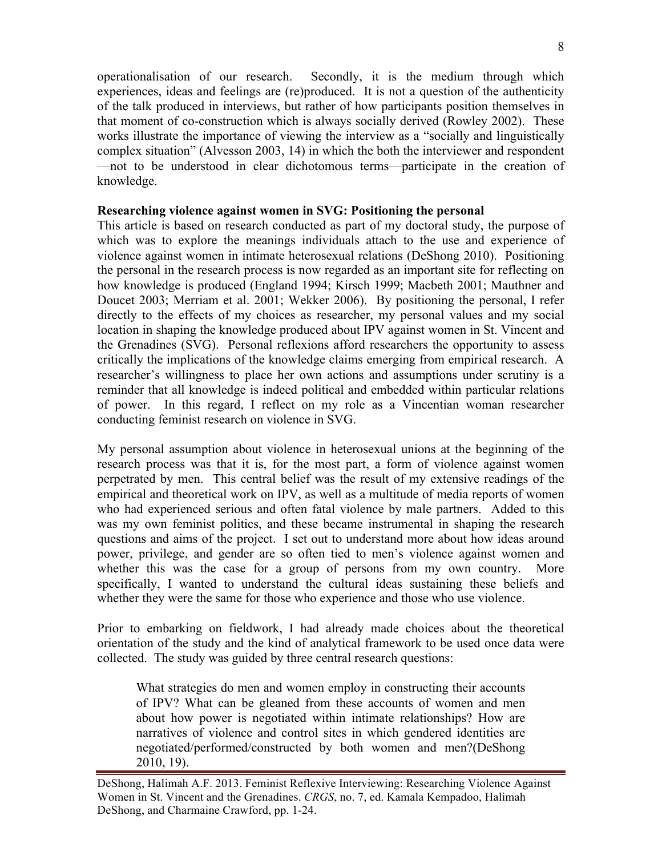operationalisation of our research. Secondly, it is the medium through which experiences, ideas and feelings are (re)produced. It is not a question of the authenticity of the talk produced in interviews, but rather of how participants position themselves in that moment of co-construction which is always socially derived (Rowley 2002). These works illustrate the importance of viewing the interview as a "socially and linguistically complex situation" (Alvesson 2003, 14) in which the both the interviewer and respondent —not to be understood in clear dichotomous terms—participate in the creation of knowledge.

### **Researching violence against women in SVG: Positioning the personal**

This article is based on research conducted as part of my doctoral study, the purpose of which was to explore the meanings individuals attach to the use and experience of violence against women in intimate heterosexual relations (DeShong 2010). Positioning the personal in the research process is now regarded as an important site for reflecting on how knowledge is produced (England 1994; Kirsch 1999; Macbeth 2001; Mauthner and Doucet 2003; Merriam et al. 2001; Wekker 2006). By positioning the personal, I refer directly to the effects of my choices as researcher, my personal values and my social location in shaping the knowledge produced about IPV against women in St. Vincent and the Grenadines (SVG). Personal reflexions afford researchers the opportunity to assess critically the implications of the knowledge claims emerging from empirical research. A researcher's willingness to place her own actions and assumptions under scrutiny is a reminder that all knowledge is indeed political and embedded within particular relations of power. In this regard, I reflect on my role as a Vincentian woman researcher conducting feminist research on violence in SVG.

My personal assumption about violence in heterosexual unions at the beginning of the research process was that it is, for the most part, a form of violence against women perpetrated by men. This central belief was the result of my extensive readings of the empirical and theoretical work on IPV, as well as a multitude of media reports of women who had experienced serious and often fatal violence by male partners. Added to this was my own feminist politics, and these became instrumental in shaping the research questions and aims of the project. I set out to understand more about how ideas around power, privilege, and gender are so often tied to men's violence against women and whether this was the case for a group of persons from my own country. More specifically, I wanted to understand the cultural ideas sustaining these beliefs and whether they were the same for those who experience and those who use violence.

Prior to embarking on fieldwork, I had already made choices about the theoretical orientation of the study and the kind of analytical framework to be used once data were collected. The study was guided by three central research questions:

What strategies do men and women employ in constructing their accounts of IPV? What can be gleaned from these accounts of women and men about how power is negotiated within intimate relationships? How are narratives of violence and control sites in which gendered identities are negotiated/performed/constructed by both women and men?(DeShong 2010, 19).

DeShong, Halimah A.F. 2013. Feminist Reflexive Interviewing: Researching Violence Against Women in St. Vincent and the Grenadines. *CRGS*, no. 7, ed. Kamala Kempadoo, Halimah DeShong, and Charmaine Crawford, pp. 1-24.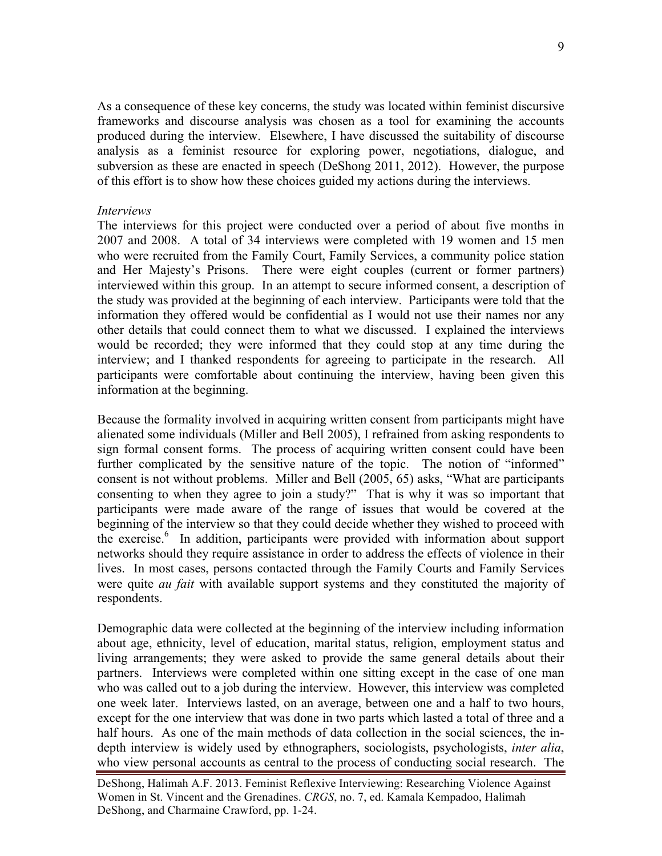As a consequence of these key concerns, the study was located within feminist discursive frameworks and discourse analysis was chosen as a tool for examining the accounts produced during the interview. Elsewhere, I have discussed the suitability of discourse analysis as a feminist resource for exploring power, negotiations, dialogue, and subversion as these are enacted in speech (DeShong 2011, 2012). However, the purpose of this effort is to show how these choices guided my actions during the interviews.

#### *Interviews*

The interviews for this project were conducted over a period of about five months in 2007 and 2008. A total of 34 interviews were completed with 19 women and 15 men who were recruited from the Family Court, Family Services, a community police station and Her Majesty's Prisons. There were eight couples (current or former partners) interviewed within this group. In an attempt to secure informed consent, a description of the study was provided at the beginning of each interview. Participants were told that the information they offered would be confidential as I would not use their names nor any other details that could connect them to what we discussed. I explained the interviews would be recorded; they were informed that they could stop at any time during the interview; and I thanked respondents for agreeing to participate in the research. All participants were comfortable about continuing the interview, having been given this information at the beginning.

Because the formality involved in acquiring written consent from participants might have alienated some individuals (Miller and Bell 2005), I refrained from asking respondents to sign formal consent forms. The process of acquiring written consent could have been further complicated by the sensitive nature of the topic. The notion of "informed" consent is not without problems. Miller and Bell (2005, 65) asks, "What are participants consenting to when they agree to join a study?" That is why it was so important that participants were made aware of the range of issues that would be covered at the beginning of the interview so that they could decide whether they wished to proceed with the exercise.<sup>6</sup> In addition, participants were provided with information about support networks should they require assistance in order to address the effects of violence in their lives. In most cases, persons contacted through the Family Courts and Family Services were quite *au fait* with available support systems and they constituted the majority of respondents.

Demographic data were collected at the beginning of the interview including information about age, ethnicity, level of education, marital status, religion, employment status and living arrangements; they were asked to provide the same general details about their partners. Interviews were completed within one sitting except in the case of one man who was called out to a job during the interview. However, this interview was completed one week later. Interviews lasted, on an average, between one and a half to two hours, except for the one interview that was done in two parts which lasted a total of three and a half hours. As one of the main methods of data collection in the social sciences, the indepth interview is widely used by ethnographers, sociologists, psychologists, *inter alia*, who view personal accounts as central to the process of conducting social research. The

DeShong, Halimah A.F. 2013. Feminist Reflexive Interviewing: Researching Violence Against Women in St. Vincent and the Grenadines. *CRGS*, no. 7, ed. Kamala Kempadoo, Halimah DeShong, and Charmaine Crawford, pp. 1-24.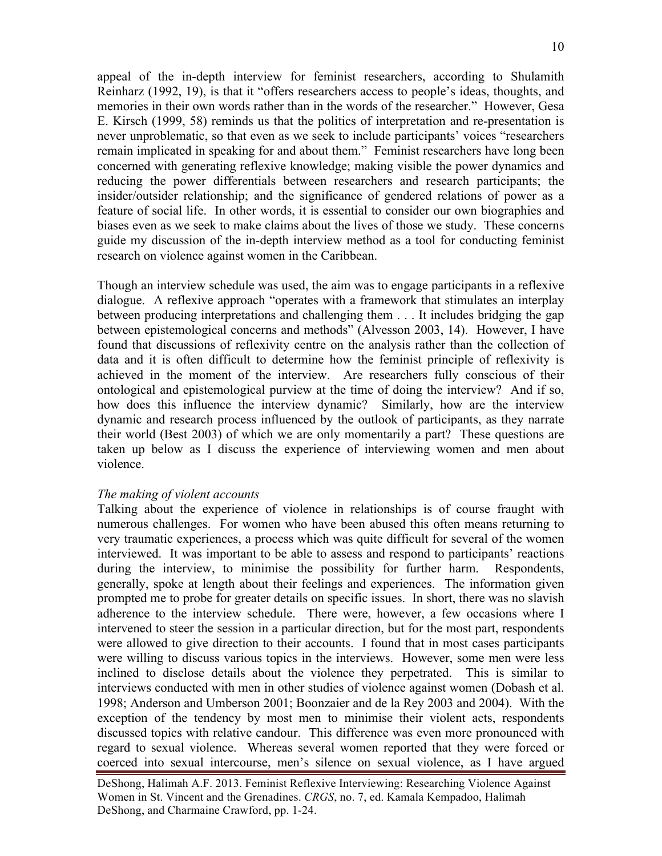appeal of the in-depth interview for feminist researchers, according to Shulamith Reinharz (1992, 19), is that it "offers researchers access to people's ideas, thoughts, and memories in their own words rather than in the words of the researcher." However, Gesa E. Kirsch (1999, 58) reminds us that the politics of interpretation and re-presentation is never unproblematic, so that even as we seek to include participants' voices "researchers remain implicated in speaking for and about them." Feminist researchers have long been concerned with generating reflexive knowledge; making visible the power dynamics and reducing the power differentials between researchers and research participants; the insider/outsider relationship; and the significance of gendered relations of power as a feature of social life. In other words, it is essential to consider our own biographies and biases even as we seek to make claims about the lives of those we study. These concerns guide my discussion of the in-depth interview method as a tool for conducting feminist research on violence against women in the Caribbean.

Though an interview schedule was used, the aim was to engage participants in a reflexive dialogue. A reflexive approach "operates with a framework that stimulates an interplay between producing interpretations and challenging them . . . It includes bridging the gap between epistemological concerns and methods" (Alvesson 2003, 14). However, I have found that discussions of reflexivity centre on the analysis rather than the collection of data and it is often difficult to determine how the feminist principle of reflexivity is achieved in the moment of the interview. Are researchers fully conscious of their ontological and epistemological purview at the time of doing the interview? And if so, how does this influence the interview dynamic? Similarly, how are the interview dynamic and research process influenced by the outlook of participants, as they narrate their world (Best 2003) of which we are only momentarily a part? These questions are taken up below as I discuss the experience of interviewing women and men about violence.

### *The making of violent accounts*

Talking about the experience of violence in relationships is of course fraught with numerous challenges. For women who have been abused this often means returning to very traumatic experiences, a process which was quite difficult for several of the women interviewed. It was important to be able to assess and respond to participants' reactions during the interview, to minimise the possibility for further harm. Respondents, generally, spoke at length about their feelings and experiences. The information given prompted me to probe for greater details on specific issues. In short, there was no slavish adherence to the interview schedule. There were, however, a few occasions where I intervened to steer the session in a particular direction, but for the most part, respondents were allowed to give direction to their accounts. I found that in most cases participants were willing to discuss various topics in the interviews. However, some men were less inclined to disclose details about the violence they perpetrated. This is similar to interviews conducted with men in other studies of violence against women (Dobash et al. 1998; Anderson and Umberson 2001; Boonzaier and de la Rey 2003 and 2004). With the exception of the tendency by most men to minimise their violent acts, respondents discussed topics with relative candour. This difference was even more pronounced with regard to sexual violence. Whereas several women reported that they were forced or coerced into sexual intercourse, men's silence on sexual violence, as I have argued

DeShong, Halimah A.F. 2013. Feminist Reflexive Interviewing: Researching Violence Against Women in St. Vincent and the Grenadines. *CRGS*, no. 7, ed. Kamala Kempadoo, Halimah DeShong, and Charmaine Crawford, pp. 1-24.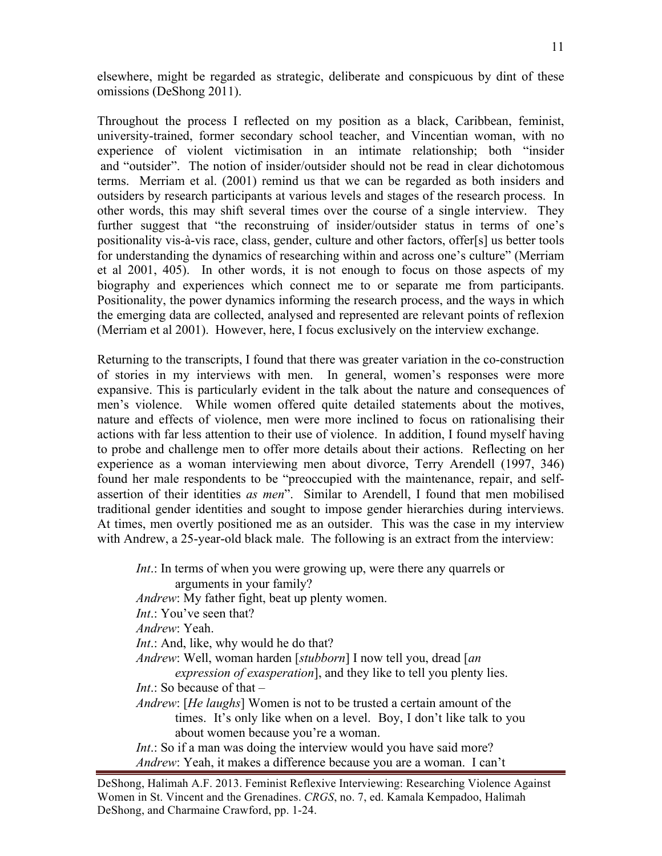elsewhere, might be regarded as strategic, deliberate and conspicuous by dint of these omissions (DeShong 2011).

Throughout the process I reflected on my position as a black, Caribbean, feminist, university-trained, former secondary school teacher, and Vincentian woman, with no experience of violent victimisation in an intimate relationship; both "insider and "outsider". The notion of insider/outsider should not be read in clear dichotomous terms. Merriam et al. (2001) remind us that we can be regarded as both insiders and outsiders by research participants at various levels and stages of the research process. In other words, this may shift several times over the course of a single interview. They further suggest that "the reconstruing of insider/outsider status in terms of one's positionality vis-à-vis race, class, gender, culture and other factors, offer[s] us better tools for understanding the dynamics of researching within and across one's culture" (Merriam et al 2001, 405). In other words, it is not enough to focus on those aspects of my biography and experiences which connect me to or separate me from participants. Positionality, the power dynamics informing the research process, and the ways in which the emerging data are collected, analysed and represented are relevant points of reflexion (Merriam et al 2001). However, here, I focus exclusively on the interview exchange.

Returning to the transcripts, I found that there was greater variation in the co-construction of stories in my interviews with men. In general, women's responses were more expansive. This is particularly evident in the talk about the nature and consequences of men's violence. While women offered quite detailed statements about the motives, nature and effects of violence, men were more inclined to focus on rationalising their actions with far less attention to their use of violence. In addition, I found myself having to probe and challenge men to offer more details about their actions. Reflecting on her experience as a woman interviewing men about divorce, Terry Arendell (1997, 346) found her male respondents to be "preoccupied with the maintenance, repair, and selfassertion of their identities *as men*". Similar to Arendell, I found that men mobilised traditional gender identities and sought to impose gender hierarchies during interviews. At times, men overtly positioned me as an outsider. This was the case in my interview with Andrew, a 25-year-old black male. The following is an extract from the interview:

*Int*.: In terms of when you were growing up, were there any quarrels or arguments in your family? *Andrew*: My father fight, beat up plenty women. *Int*.: You've seen that? *Andrew*: Yeah. *Int*.: And, like, why would he do that? *Andrew*: Well, woman harden [*stubborn*] I now tell you, dread [*an expression of exasperation*], and they like to tell you plenty lies. *Int*  $\cdot$  So because of that  $-$ *Andrew*: [*He laughs*] Women is not to be trusted a certain amount of the times. It's only like when on a level. Boy, I don't like talk to you about women because you're a woman. *Int*.: So if a man was doing the interview would you have said more? *Andrew*: Yeah, it makes a difference because you are a woman. I can't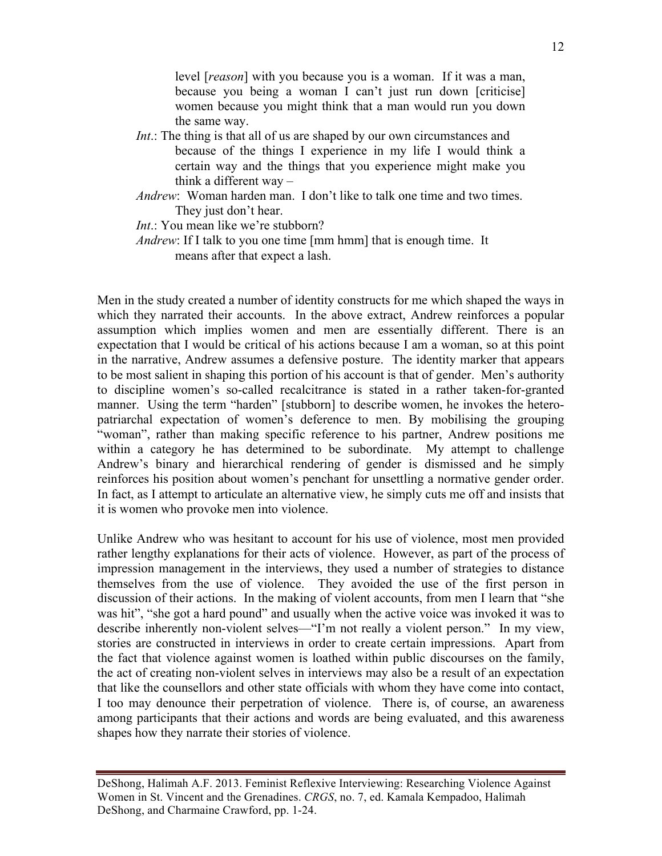level [*reason*] with you because you is a woman. If it was a man, because you being a woman I can't just run down [criticise] women because you might think that a man would run you down the same way.

- *Int*.: The thing is that all of us are shaped by our own circumstances and because of the things I experience in my life I would think a certain way and the things that you experience might make you think a different way –
- *Andrew*: Woman harden man. I don't like to talk one time and two times. They just don't hear.

*Int*.: You mean like we're stubborn?

*Andrew*: If I talk to you one time [mm hmm] that is enough time. It means after that expect a lash.

Men in the study created a number of identity constructs for me which shaped the ways in which they narrated their accounts. In the above extract, Andrew reinforces a popular assumption which implies women and men are essentially different. There is an expectation that I would be critical of his actions because I am a woman, so at this point in the narrative, Andrew assumes a defensive posture. The identity marker that appears to be most salient in shaping this portion of his account is that of gender. Men's authority to discipline women's so-called recalcitrance is stated in a rather taken-for-granted manner. Using the term "harden" [stubborn] to describe women, he invokes the heteropatriarchal expectation of women's deference to men. By mobilising the grouping "woman", rather than making specific reference to his partner, Andrew positions me within a category he has determined to be subordinate. My attempt to challenge Andrew's binary and hierarchical rendering of gender is dismissed and he simply reinforces his position about women's penchant for unsettling a normative gender order. In fact, as I attempt to articulate an alternative view, he simply cuts me off and insists that it is women who provoke men into violence.

Unlike Andrew who was hesitant to account for his use of violence, most men provided rather lengthy explanations for their acts of violence. However, as part of the process of impression management in the interviews, they used a number of strategies to distance themselves from the use of violence. They avoided the use of the first person in discussion of their actions. In the making of violent accounts, from men I learn that "she was hit", "she got a hard pound" and usually when the active voice was invoked it was to describe inherently non-violent selves—"I'm not really a violent person." In my view, stories are constructed in interviews in order to create certain impressions. Apart from the fact that violence against women is loathed within public discourses on the family, the act of creating non-violent selves in interviews may also be a result of an expectation that like the counsellors and other state officials with whom they have come into contact, I too may denounce their perpetration of violence. There is, of course, an awareness among participants that their actions and words are being evaluated, and this awareness shapes how they narrate their stories of violence.

DeShong, Halimah A.F. 2013. Feminist Reflexive Interviewing: Researching Violence Against Women in St. Vincent and the Grenadines. *CRGS*, no. 7, ed. Kamala Kempadoo, Halimah DeShong, and Charmaine Crawford, pp. 1-24.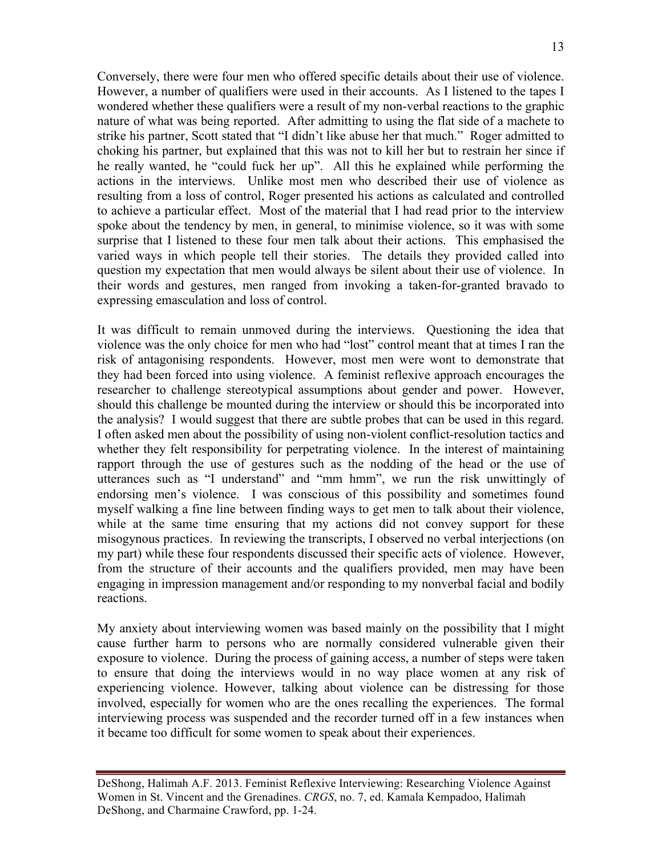Conversely, there were four men who offered specific details about their use of violence. However, a number of qualifiers were used in their accounts. As I listened to the tapes I wondered whether these qualifiers were a result of my non-verbal reactions to the graphic nature of what was being reported. After admitting to using the flat side of a machete to strike his partner, Scott stated that "I didn't like abuse her that much." Roger admitted to choking his partner, but explained that this was not to kill her but to restrain her since if he really wanted, he "could fuck her up". All this he explained while performing the actions in the interviews. Unlike most men who described their use of violence as resulting from a loss of control, Roger presented his actions as calculated and controlled to achieve a particular effect. Most of the material that I had read prior to the interview spoke about the tendency by men, in general, to minimise violence, so it was with some surprise that I listened to these four men talk about their actions. This emphasised the varied ways in which people tell their stories. The details they provided called into question my expectation that men would always be silent about their use of violence. In their words and gestures, men ranged from invoking a taken-for-granted bravado to expressing emasculation and loss of control.

It was difficult to remain unmoved during the interviews. Questioning the idea that violence was the only choice for men who had "lost" control meant that at times I ran the risk of antagonising respondents. However, most men were wont to demonstrate that they had been forced into using violence. A feminist reflexive approach encourages the researcher to challenge stereotypical assumptions about gender and power. However, should this challenge be mounted during the interview or should this be incorporated into the analysis? I would suggest that there are subtle probes that can be used in this regard. I often asked men about the possibility of using non-violent conflict-resolution tactics and whether they felt responsibility for perpetrating violence. In the interest of maintaining rapport through the use of gestures such as the nodding of the head or the use of utterances such as "I understand" and "mm hmm", we run the risk unwittingly of endorsing men's violence. I was conscious of this possibility and sometimes found myself walking a fine line between finding ways to get men to talk about their violence, while at the same time ensuring that my actions did not convey support for these misogynous practices. In reviewing the transcripts, I observed no verbal interjections (on my part) while these four respondents discussed their specific acts of violence. However, from the structure of their accounts and the qualifiers provided, men may have been engaging in impression management and/or responding to my nonverbal facial and bodily reactions.

My anxiety about interviewing women was based mainly on the possibility that I might cause further harm to persons who are normally considered vulnerable given their exposure to violence. During the process of gaining access, a number of steps were taken to ensure that doing the interviews would in no way place women at any risk of experiencing violence. However, talking about violence can be distressing for those involved, especially for women who are the ones recalling the experiences. The formal interviewing process was suspended and the recorder turned off in a few instances when it became too difficult for some women to speak about their experiences.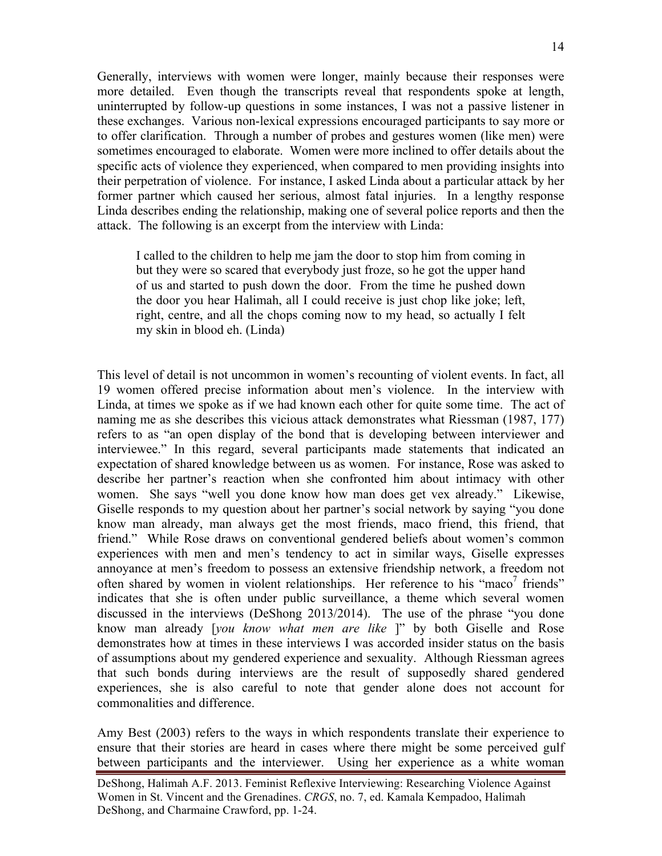Generally, interviews with women were longer, mainly because their responses were more detailed. Even though the transcripts reveal that respondents spoke at length, uninterrupted by follow-up questions in some instances, I was not a passive listener in these exchanges. Various non-lexical expressions encouraged participants to say more or to offer clarification. Through a number of probes and gestures women (like men) were sometimes encouraged to elaborate. Women were more inclined to offer details about the specific acts of violence they experienced, when compared to men providing insights into their perpetration of violence. For instance, I asked Linda about a particular attack by her former partner which caused her serious, almost fatal injuries. In a lengthy response Linda describes ending the relationship, making one of several police reports and then the attack. The following is an excerpt from the interview with Linda:

I called to the children to help me jam the door to stop him from coming in but they were so scared that everybody just froze, so he got the upper hand of us and started to push down the door. From the time he pushed down the door you hear Halimah, all I could receive is just chop like joke; left, right, centre, and all the chops coming now to my head, so actually I felt my skin in blood eh. (Linda)

This level of detail is not uncommon in women's recounting of violent events. In fact, all 19 women offered precise information about men's violence. In the interview with Linda, at times we spoke as if we had known each other for quite some time. The act of naming me as she describes this vicious attack demonstrates what Riessman (1987, 177) refers to as "an open display of the bond that is developing between interviewer and interviewee." In this regard, several participants made statements that indicated an expectation of shared knowledge between us as women. For instance, Rose was asked to describe her partner's reaction when she confronted him about intimacy with other women. She says "well you done know how man does get vex already." Likewise, Giselle responds to my question about her partner's social network by saying "you done know man already, man always get the most friends, maco friend, this friend, that friend." While Rose draws on conventional gendered beliefs about women's common experiences with men and men's tendency to act in similar ways, Giselle expresses annoyance at men's freedom to possess an extensive friendship network, a freedom not often shared by women in violent relationships. Her reference to his "maco<sup>7</sup> friends" indicates that she is often under public surveillance, a theme which several women discussed in the interviews (DeShong 2013/2014). The use of the phrase "you done know man already [*you know what men are like* ]" by both Giselle and Rose demonstrates how at times in these interviews I was accorded insider status on the basis of assumptions about my gendered experience and sexuality. Although Riessman agrees that such bonds during interviews are the result of supposedly shared gendered experiences, she is also careful to note that gender alone does not account for commonalities and difference.

Amy Best (2003) refers to the ways in which respondents translate their experience to ensure that their stories are heard in cases where there might be some perceived gulf between participants and the interviewer. Using her experience as a white woman

DeShong, Halimah A.F. 2013. Feminist Reflexive Interviewing: Researching Violence Against Women in St. Vincent and the Grenadines. *CRGS*, no. 7, ed. Kamala Kempadoo, Halimah DeShong, and Charmaine Crawford, pp. 1-24.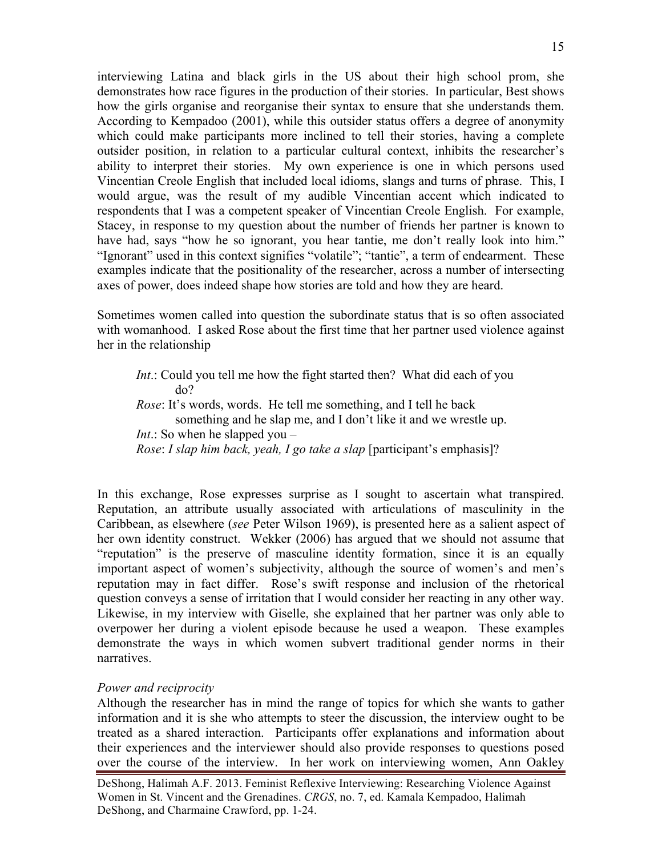interviewing Latina and black girls in the US about their high school prom, she demonstrates how race figures in the production of their stories. In particular, Best shows how the girls organise and reorganise their syntax to ensure that she understands them. According to Kempadoo (2001), while this outsider status offers a degree of anonymity which could make participants more inclined to tell their stories, having a complete outsider position, in relation to a particular cultural context, inhibits the researcher's ability to interpret their stories. My own experience is one in which persons used Vincentian Creole English that included local idioms, slangs and turns of phrase. This, I would argue, was the result of my audible Vincentian accent which indicated to respondents that I was a competent speaker of Vincentian Creole English. For example, Stacey, in response to my question about the number of friends her partner is known to have had, says "how he so ignorant, you hear tantie, me don't really look into him." "Ignorant" used in this context signifies "volatile"; "tantie", a term of endearment. These examples indicate that the positionality of the researcher, across a number of intersecting axes of power, does indeed shape how stories are told and how they are heard.

Sometimes women called into question the subordinate status that is so often associated with womanhood. I asked Rose about the first time that her partner used violence against her in the relationship

*Int*.: Could you tell me how the fight started then? What did each of you do? *Rose*: It's words, words. He tell me something, and I tell he back something and he slap me, and I don't like it and we wrestle up. *Int*.: So when he slapped you – *Rose*: *I slap him back, yeah, I go take a slap* [participant's emphasis]?

In this exchange, Rose expresses surprise as I sought to ascertain what transpired. Reputation, an attribute usually associated with articulations of masculinity in the Caribbean, as elsewhere (*see* Peter Wilson 1969), is presented here as a salient aspect of her own identity construct. Wekker (2006) has argued that we should not assume that "reputation" is the preserve of masculine identity formation, since it is an equally important aspect of women's subjectivity, although the source of women's and men's reputation may in fact differ. Rose's swift response and inclusion of the rhetorical question conveys a sense of irritation that I would consider her reacting in any other way. Likewise, in my interview with Giselle, she explained that her partner was only able to overpower her during a violent episode because he used a weapon. These examples demonstrate the ways in which women subvert traditional gender norms in their narratives.

### *Power and reciprocity*

Although the researcher has in mind the range of topics for which she wants to gather information and it is she who attempts to steer the discussion, the interview ought to be treated as a shared interaction. Participants offer explanations and information about their experiences and the interviewer should also provide responses to questions posed over the course of the interview. In her work on interviewing women, Ann Oakley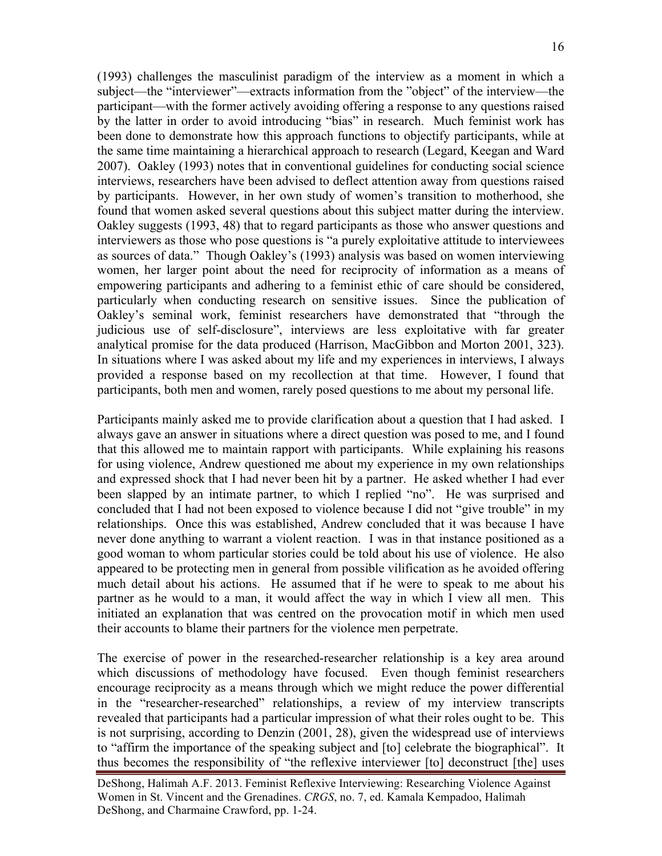(1993) challenges the masculinist paradigm of the interview as a moment in which a subject—the "interviewer"—extracts information from the "object" of the interview—the participant—with the former actively avoiding offering a response to any questions raised by the latter in order to avoid introducing "bias" in research. Much feminist work has been done to demonstrate how this approach functions to objectify participants, while at the same time maintaining a hierarchical approach to research (Legard, Keegan and Ward 2007). Oakley (1993) notes that in conventional guidelines for conducting social science interviews, researchers have been advised to deflect attention away from questions raised by participants. However, in her own study of women's transition to motherhood, she found that women asked several questions about this subject matter during the interview. Oakley suggests (1993, 48) that to regard participants as those who answer questions and interviewers as those who pose questions is "a purely exploitative attitude to interviewees as sources of data." Though Oakley's (1993) analysis was based on women interviewing women, her larger point about the need for reciprocity of information as a means of empowering participants and adhering to a feminist ethic of care should be considered, particularly when conducting research on sensitive issues. Since the publication of Oakley's seminal work, feminist researchers have demonstrated that "through the judicious use of self-disclosure", interviews are less exploitative with far greater analytical promise for the data produced (Harrison, MacGibbon and Morton 2001, 323). In situations where I was asked about my life and my experiences in interviews, I always provided a response based on my recollection at that time. However, I found that participants, both men and women, rarely posed questions to me about my personal life.

Participants mainly asked me to provide clarification about a question that I had asked. I always gave an answer in situations where a direct question was posed to me, and I found that this allowed me to maintain rapport with participants. While explaining his reasons for using violence, Andrew questioned me about my experience in my own relationships and expressed shock that I had never been hit by a partner. He asked whether I had ever been slapped by an intimate partner, to which I replied "no". He was surprised and concluded that I had not been exposed to violence because I did not "give trouble" in my relationships. Once this was established, Andrew concluded that it was because I have never done anything to warrant a violent reaction. I was in that instance positioned as a good woman to whom particular stories could be told about his use of violence. He also appeared to be protecting men in general from possible vilification as he avoided offering much detail about his actions. He assumed that if he were to speak to me about his partner as he would to a man, it would affect the way in which I view all men. This initiated an explanation that was centred on the provocation motif in which men used their accounts to blame their partners for the violence men perpetrate.

The exercise of power in the researched-researcher relationship is a key area around which discussions of methodology have focused. Even though feminist researchers encourage reciprocity as a means through which we might reduce the power differential in the "researcher-researched" relationships, a review of my interview transcripts revealed that participants had a particular impression of what their roles ought to be. This is not surprising, according to Denzin (2001, 28), given the widespread use of interviews to "affirm the importance of the speaking subject and [to] celebrate the biographical". It thus becomes the responsibility of "the reflexive interviewer [to] deconstruct [the] uses

DeShong, Halimah A.F. 2013. Feminist Reflexive Interviewing: Researching Violence Against Women in St. Vincent and the Grenadines. *CRGS*, no. 7, ed. Kamala Kempadoo, Halimah DeShong, and Charmaine Crawford, pp. 1-24.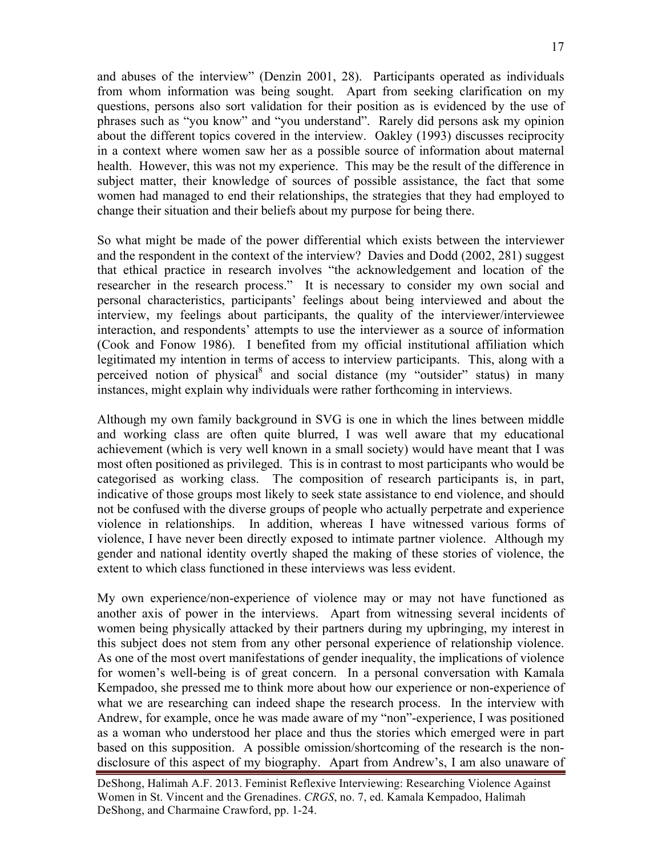and abuses of the interview" (Denzin 2001, 28). Participants operated as individuals from whom information was being sought. Apart from seeking clarification on my questions, persons also sort validation for their position as is evidenced by the use of phrases such as "you know" and "you understand". Rarely did persons ask my opinion about the different topics covered in the interview. Oakley (1993) discusses reciprocity in a context where women saw her as a possible source of information about maternal health. However, this was not my experience. This may be the result of the difference in subject matter, their knowledge of sources of possible assistance, the fact that some women had managed to end their relationships, the strategies that they had employed to change their situation and their beliefs about my purpose for being there.

So what might be made of the power differential which exists between the interviewer and the respondent in the context of the interview? Davies and Dodd (2002, 281) suggest that ethical practice in research involves "the acknowledgement and location of the researcher in the research process." It is necessary to consider my own social and personal characteristics, participants' feelings about being interviewed and about the interview, my feelings about participants, the quality of the interviewer/interviewee interaction, and respondents' attempts to use the interviewer as a source of information (Cook and Fonow 1986). I benefited from my official institutional affiliation which legitimated my intention in terms of access to interview participants. This, along with a perceived notion of physical<sup>8</sup> and social distance (my "outsider" status) in many instances, might explain why individuals were rather forthcoming in interviews.

Although my own family background in SVG is one in which the lines between middle and working class are often quite blurred, I was well aware that my educational achievement (which is very well known in a small society) would have meant that I was most often positioned as privileged. This is in contrast to most participants who would be categorised as working class. The composition of research participants is, in part, indicative of those groups most likely to seek state assistance to end violence, and should not be confused with the diverse groups of people who actually perpetrate and experience violence in relationships. In addition, whereas I have witnessed various forms of violence, I have never been directly exposed to intimate partner violence. Although my gender and national identity overtly shaped the making of these stories of violence, the extent to which class functioned in these interviews was less evident.

My own experience/non-experience of violence may or may not have functioned as another axis of power in the interviews. Apart from witnessing several incidents of women being physically attacked by their partners during my upbringing, my interest in this subject does not stem from any other personal experience of relationship violence. As one of the most overt manifestations of gender inequality, the implications of violence for women's well-being is of great concern. In a personal conversation with Kamala Kempadoo, she pressed me to think more about how our experience or non-experience of what we are researching can indeed shape the research process. In the interview with Andrew, for example, once he was made aware of my "non"-experience, I was positioned as a woman who understood her place and thus the stories which emerged were in part based on this supposition. A possible omission/shortcoming of the research is the nondisclosure of this aspect of my biography. Apart from Andrew's, I am also unaware of

DeShong, Halimah A.F. 2013. Feminist Reflexive Interviewing: Researching Violence Against Women in St. Vincent and the Grenadines. *CRGS*, no. 7, ed. Kamala Kempadoo, Halimah DeShong, and Charmaine Crawford, pp. 1-24.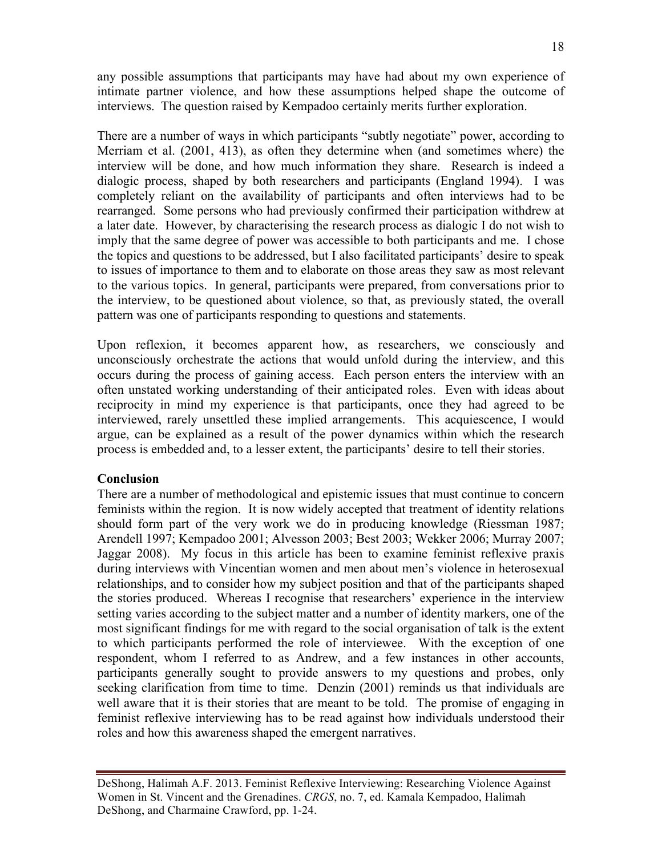any possible assumptions that participants may have had about my own experience of intimate partner violence, and how these assumptions helped shape the outcome of interviews. The question raised by Kempadoo certainly merits further exploration.

There are a number of ways in which participants "subtly negotiate" power, according to Merriam et al. (2001, 413), as often they determine when (and sometimes where) the interview will be done, and how much information they share. Research is indeed a dialogic process, shaped by both researchers and participants (England 1994). I was completely reliant on the availability of participants and often interviews had to be rearranged. Some persons who had previously confirmed their participation withdrew at a later date. However, by characterising the research process as dialogic I do not wish to imply that the same degree of power was accessible to both participants and me. I chose the topics and questions to be addressed, but I also facilitated participants' desire to speak to issues of importance to them and to elaborate on those areas they saw as most relevant to the various topics. In general, participants were prepared, from conversations prior to the interview, to be questioned about violence, so that, as previously stated, the overall pattern was one of participants responding to questions and statements.

Upon reflexion, it becomes apparent how, as researchers, we consciously and unconsciously orchestrate the actions that would unfold during the interview, and this occurs during the process of gaining access. Each person enters the interview with an often unstated working understanding of their anticipated roles. Even with ideas about reciprocity in mind my experience is that participants, once they had agreed to be interviewed, rarely unsettled these implied arrangements. This acquiescence, I would argue, can be explained as a result of the power dynamics within which the research process is embedded and, to a lesser extent, the participants' desire to tell their stories.

## **Conclusion**

There are a number of methodological and epistemic issues that must continue to concern feminists within the region. It is now widely accepted that treatment of identity relations should form part of the very work we do in producing knowledge (Riessman 1987; Arendell 1997; Kempadoo 2001; Alvesson 2003; Best 2003; Wekker 2006; Murray 2007; Jaggar 2008). My focus in this article has been to examine feminist reflexive praxis during interviews with Vincentian women and men about men's violence in heterosexual relationships, and to consider how my subject position and that of the participants shaped the stories produced. Whereas I recognise that researchers' experience in the interview setting varies according to the subject matter and a number of identity markers, one of the most significant findings for me with regard to the social organisation of talk is the extent to which participants performed the role of interviewee. With the exception of one respondent, whom I referred to as Andrew, and a few instances in other accounts, participants generally sought to provide answers to my questions and probes, only seeking clarification from time to time. Denzin (2001) reminds us that individuals are well aware that it is their stories that are meant to be told. The promise of engaging in feminist reflexive interviewing has to be read against how individuals understood their roles and how this awareness shaped the emergent narratives.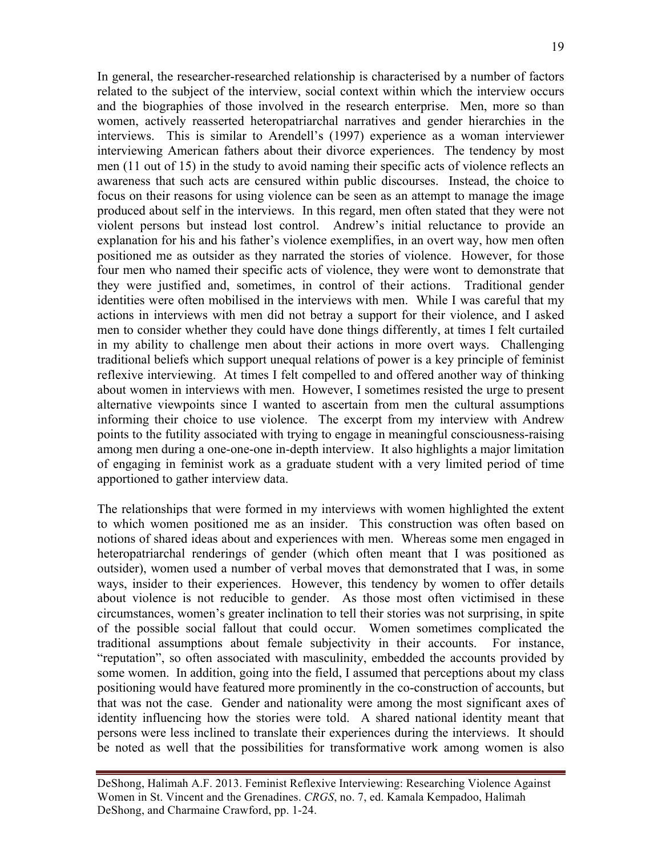In general, the researcher-researched relationship is characterised by a number of factors related to the subject of the interview, social context within which the interview occurs and the biographies of those involved in the research enterprise. Men, more so than women, actively reasserted heteropatriarchal narratives and gender hierarchies in the interviews. This is similar to Arendell's (1997) experience as a woman interviewer interviewing American fathers about their divorce experiences. The tendency by most men (11 out of 15) in the study to avoid naming their specific acts of violence reflects an awareness that such acts are censured within public discourses. Instead, the choice to focus on their reasons for using violence can be seen as an attempt to manage the image produced about self in the interviews. In this regard, men often stated that they were not violent persons but instead lost control. Andrew's initial reluctance to provide an explanation for his and his father's violence exemplifies, in an overt way, how men often positioned me as outsider as they narrated the stories of violence. However, for those four men who named their specific acts of violence, they were wont to demonstrate that they were justified and, sometimes, in control of their actions. Traditional gender identities were often mobilised in the interviews with men. While I was careful that my actions in interviews with men did not betray a support for their violence, and I asked men to consider whether they could have done things differently, at times I felt curtailed in my ability to challenge men about their actions in more overt ways. Challenging traditional beliefs which support unequal relations of power is a key principle of feminist reflexive interviewing. At times I felt compelled to and offered another way of thinking about women in interviews with men. However, I sometimes resisted the urge to present alternative viewpoints since I wanted to ascertain from men the cultural assumptions informing their choice to use violence. The excerpt from my interview with Andrew points to the futility associated with trying to engage in meaningful consciousness-raising among men during a one-one-one in-depth interview. It also highlights a major limitation of engaging in feminist work as a graduate student with a very limited period of time apportioned to gather interview data.

The relationships that were formed in my interviews with women highlighted the extent to which women positioned me as an insider. This construction was often based on notions of shared ideas about and experiences with men. Whereas some men engaged in heteropatriarchal renderings of gender (which often meant that I was positioned as outsider), women used a number of verbal moves that demonstrated that I was, in some ways, insider to their experiences. However, this tendency by women to offer details about violence is not reducible to gender. As those most often victimised in these circumstances, women's greater inclination to tell their stories was not surprising, in spite of the possible social fallout that could occur. Women sometimes complicated the traditional assumptions about female subjectivity in their accounts. For instance, "reputation", so often associated with masculinity, embedded the accounts provided by some women. In addition, going into the field, I assumed that perceptions about my class positioning would have featured more prominently in the co-construction of accounts, but that was not the case. Gender and nationality were among the most significant axes of identity influencing how the stories were told. A shared national identity meant that persons were less inclined to translate their experiences during the interviews. It should be noted as well that the possibilities for transformative work among women is also

DeShong, Halimah A.F. 2013. Feminist Reflexive Interviewing: Researching Violence Against Women in St. Vincent and the Grenadines. *CRGS*, no. 7, ed. Kamala Kempadoo, Halimah DeShong, and Charmaine Crawford, pp. 1-24.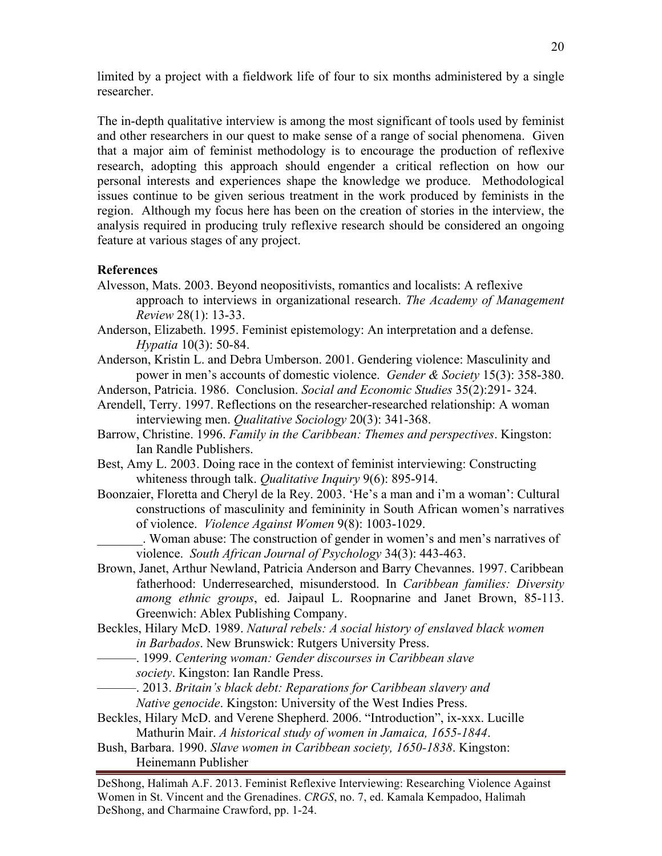limited by a project with a fieldwork life of four to six months administered by a single researcher.

The in-depth qualitative interview is among the most significant of tools used by feminist and other researchers in our quest to make sense of a range of social phenomena. Given that a major aim of feminist methodology is to encourage the production of reflexive research, adopting this approach should engender a critical reflection on how our personal interests and experiences shape the knowledge we produce. Methodological issues continue to be given serious treatment in the work produced by feminists in the region. Although my focus here has been on the creation of stories in the interview, the analysis required in producing truly reflexive research should be considered an ongoing feature at various stages of any project.

### **References**

- Alvesson, Mats. 2003. Beyond neopositivists, romantics and localists: A reflexive approach to interviews in organizational research. *The Academy of Management Review* 28(1): 13-33.
- Anderson, Elizabeth. 1995. Feminist epistemology: An interpretation and a defense. *Hypatia* 10(3): 50-84.
- Anderson, Kristin L. and Debra Umberson. 2001. Gendering violence: Masculinity and power in men's accounts of domestic violence. *Gender & Society* 15(3): 358-380.
- Anderson, Patricia. 1986. Conclusion. *Social and Economic Studies* 35(2):291- 324.
- Arendell, Terry. 1997. Reflections on the researcher-researched relationship: A woman interviewing men. *Qualitative Sociology* 20(3): 341-368.
- Barrow, Christine. 1996. *Family in the Caribbean: Themes and perspectives*. Kingston: Ian Randle Publishers.
- Best, Amy L. 2003. Doing race in the context of feminist interviewing: Constructing whiteness through talk. *Qualitative Inquiry* 9(6): 895-914.
- Boonzaier, Floretta and Cheryl de la Rey. 2003. 'He's a man and i'm a woman': Cultural constructions of masculinity and femininity in South African women's narratives of violence. *Violence Against Women* 9(8): 1003-1029.
	- \_\_\_\_\_\_\_. Woman abuse: The construction of gender in women's and men's narratives of violence. *South African Journal of Psychology* 34(3): 443-463.
- Brown, Janet, Arthur Newland, Patricia Anderson and Barry Chevannes. 1997. Caribbean fatherhood: Underresearched, misunderstood. In *Caribbean families: Diversity among ethnic groups*, ed. Jaipaul L. Roopnarine and Janet Brown, 85-113. Greenwich: Ablex Publishing Company.
- Beckles, Hilary McD. 1989. *Natural rebels: A social history of enslaved black women in Barbados*. New Brunswick: Rutgers University Press.
	- ———. 1999. *Centering woman: Gender discourses in Caribbean slave society*. Kingston: Ian Randle Press.
	- ———. 2013. *Britain's black debt: Reparations for Caribbean slavery and Native genocide*. Kingston: University of the West Indies Press.
- Beckles, Hilary McD. and Verene Shepherd. 2006. "Introduction", ix-xxx. Lucille Mathurin Mair. *A historical study of women in Jamaica, 1655-1844*.
- Bush, Barbara. 1990. *Slave women in Caribbean society, 1650-1838*. Kingston: Heinemann Publisher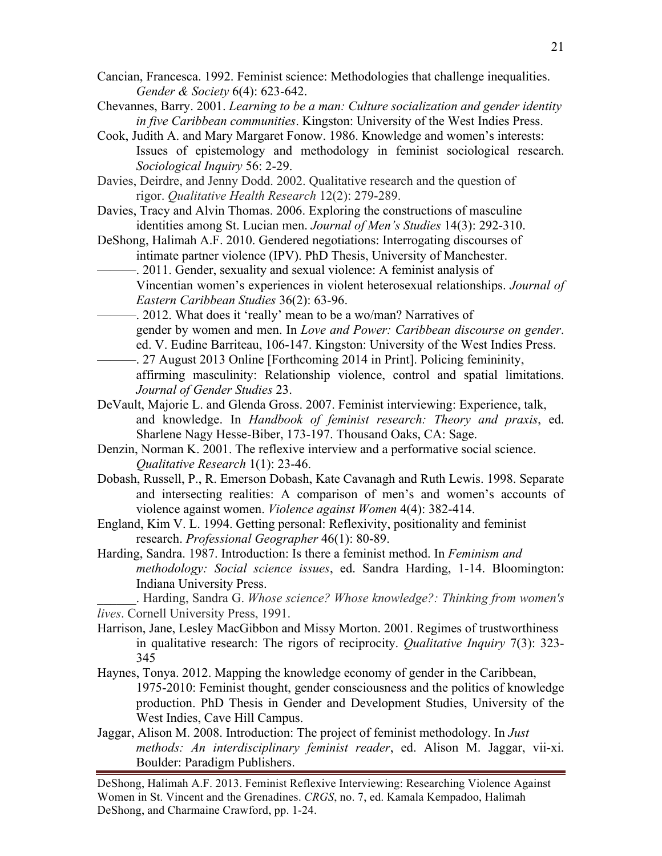- Cancian, Francesca. 1992. Feminist science: Methodologies that challenge inequalities. *Gender & Society* 6(4): 623-642.
- Chevannes, Barry. 2001. *Learning to be a man: Culture socialization and gender identity in five Caribbean communities*. Kingston: University of the West Indies Press.
- Cook, Judith A. and Mary Margaret Fonow. 1986. Knowledge and women's interests: Issues of epistemology and methodology in feminist sociological research. *Sociological Inquiry* 56: 2-29.
- Davies, Deirdre, and Jenny Dodd. 2002. Qualitative research and the question of rigor. *Qualitative Health Research* 12(2): 279-289.
- Davies, Tracy and Alvin Thomas. 2006. Exploring the constructions of masculine identities among St. Lucian men. *Journal of Men's Studies* 14(3): 292-310.
- DeShong, Halimah A.F. 2010. Gendered negotiations: Interrogating discourses of intimate partner violence (IPV). PhD Thesis, University of Manchester.
- -. 2011. Gender, sexuality and sexual violence: A feminist analysis of Vincentian women's experiences in violent heterosexual relationships. *Journal of Eastern Caribbean Studies* 36(2): 63-96.
- ———. 2012. What does it 'really' mean to be a wo/man? Narratives of gender by women and men. In *Love and Power: Caribbean discourse on gender*. ed. V. Eudine Barriteau, 106-147. Kingston: University of the West Indies Press.
- ———. 27 August 2013 Online [Forthcoming 2014 in Print]. Policing femininity, affirming masculinity: Relationship violence, control and spatial limitations. *Journal of Gender Studies* 23.
- DeVault, Majorie L. and Glenda Gross. 2007. Feminist interviewing: Experience, talk, and knowledge. In *Handbook of feminist research: Theory and praxis*, ed. Sharlene Nagy Hesse-Biber, 173-197. Thousand Oaks, CA: Sage.
- Denzin, Norman K. 2001. The reflexive interview and a performative social science.  *Qualitative Research* 1(1): 23-46.
- Dobash, Russell, P., R. Emerson Dobash, Kate Cavanagh and Ruth Lewis. 1998. Separate and intersecting realities: A comparison of men's and women's accounts of violence against women. *Violence against Women* 4(4): 382-414.
- England, Kim V. L. 1994. Getting personal: Reflexivity, positionality and feminist research. *Professional Geographer* 46(1): 80-89.
- Harding, Sandra. 1987. Introduction: Is there a feminist method. In *Feminism and methodology: Social science issues*, ed. Sandra Harding, 1-14. Bloomington: Indiana University Press.

\_\_\_\_\_\_. Harding, Sandra G. *Whose science? Whose knowledge?: Thinking from women's lives*. Cornell University Press, 1991.

- Harrison, Jane, Lesley MacGibbon and Missy Morton. 2001. Regimes of trustworthiness in qualitative research: The rigors of reciprocity. *Qualitative Inquiry* 7(3): 323- 345
- Haynes, Tonya. 2012. Mapping the knowledge economy of gender in the Caribbean, 1975-2010: Feminist thought, gender consciousness and the politics of knowledge production. PhD Thesis in Gender and Development Studies, University of the West Indies, Cave Hill Campus.
- Jaggar, Alison M. 2008. Introduction: The project of feminist methodology. In *Just methods: An interdisciplinary feminist reader*, ed. Alison M. Jaggar, vii-xi. Boulder: Paradigm Publishers.

DeShong, Halimah A.F. 2013. Feminist Reflexive Interviewing: Researching Violence Against Women in St. Vincent and the Grenadines. *CRGS*, no. 7, ed. Kamala Kempadoo, Halimah DeShong, and Charmaine Crawford, pp. 1-24.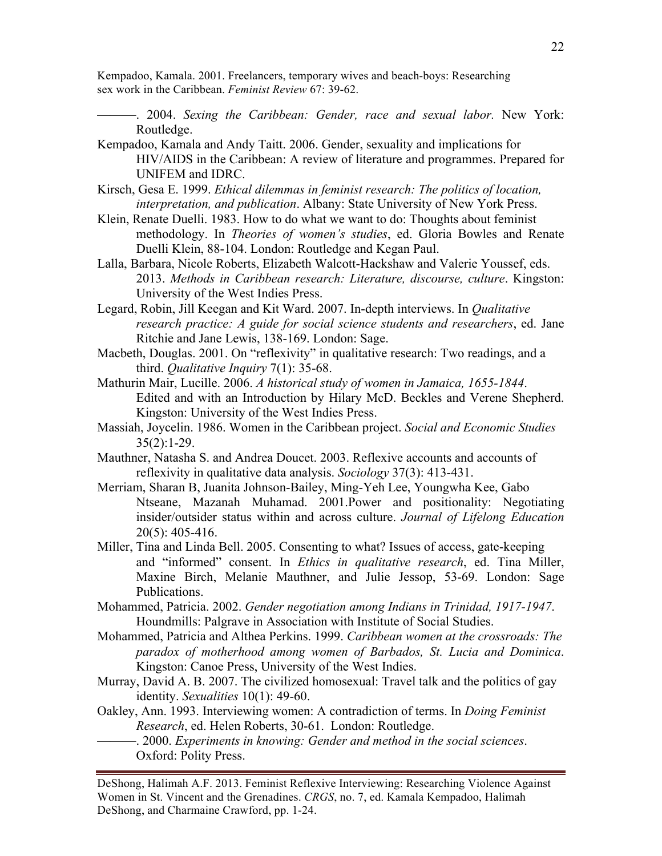Kempadoo, Kamala. 2001. Freelancers, temporary wives and beach-boys: Researching sex work in the Caribbean. *Feminist Review* 67: 39-62.

- ———. 2004. *Sexing the Caribbean: Gender, race and sexual labor.* New York: Routledge.
- Kempadoo, Kamala and Andy Taitt. 2006. Gender, sexuality and implications for HIV/AIDS in the Caribbean: A review of literature and programmes. Prepared for UNIFEM and IDRC.
- Kirsch, Gesa E. 1999. *Ethical dilemmas in feminist research: The politics of location, interpretation, and publication*. Albany: State University of New York Press.
- Klein, Renate Duelli. 1983. How to do what we want to do: Thoughts about feminist methodology. In *Theories of women's studies*, ed. Gloria Bowles and Renate Duelli Klein, 88-104. London: Routledge and Kegan Paul.
- Lalla, Barbara, Nicole Roberts, Elizabeth Walcott-Hackshaw and Valerie Youssef, eds. 2013. *Methods in Caribbean research: Literature, discourse, culture*. Kingston: University of the West Indies Press.
- Legard, Robin, Jill Keegan and Kit Ward. 2007. In-depth interviews. In *Qualitative research practice: A guide for social science students and researchers*, ed. Jane Ritchie and Jane Lewis, 138-169. London: Sage.
- Macbeth, Douglas. 2001. On "reflexivity" in qualitative research: Two readings, and a third. *Qualitative Inquiry* 7(1): 35-68.
- Mathurin Mair, Lucille. 2006. *A historical study of women in Jamaica, 1655-1844*. Edited and with an Introduction by Hilary McD. Beckles and Verene Shepherd. Kingston: University of the West Indies Press.
- Massiah, Joycelin. 1986. Women in the Caribbean project. *Social and Economic Studies*   $35(2):1-29.$
- Mauthner, Natasha S. and Andrea Doucet. 2003. Reflexive accounts and accounts of reflexivity in qualitative data analysis. *Sociology* 37(3): 413-431.
- Merriam, Sharan B, Juanita Johnson-Bailey, Ming-Yeh Lee, Youngwha Kee, Gabo Ntseane, Mazanah Muhamad. 2001.Power and positionality: Negotiating insider/outsider status within and across culture. *Journal of Lifelong Education* 20(5): 405-416.
- Miller, Tina and Linda Bell. 2005. Consenting to what? Issues of access, gate-keeping and "informed" consent. In *Ethics in qualitative research*, ed. Tina Miller, Maxine Birch, Melanie Mauthner, and Julie Jessop, 53-69. London: Sage Publications.
- Mohammed, Patricia. 2002. *Gender negotiation among Indians in Trinidad, 1917-1947*. Houndmills: Palgrave in Association with Institute of Social Studies.
- Mohammed, Patricia and Althea Perkins. 1999. *Caribbean women at the crossroads: The paradox of motherhood among women of Barbados, St. Lucia and Dominica*. Kingston: Canoe Press, University of the West Indies.
- Murray, David A. B. 2007. The civilized homosexual: Travel talk and the politics of gay identity. *Sexualities* 10(1): 49-60.
- Oakley, Ann. 1993. Interviewing women: A contradiction of terms. In *Doing Feminist Research*, ed. Helen Roberts, 30-61. London: Routledge.
	- ———. 2000. *Experiments in knowing: Gender and method in the social sciences*. Oxford: Polity Press.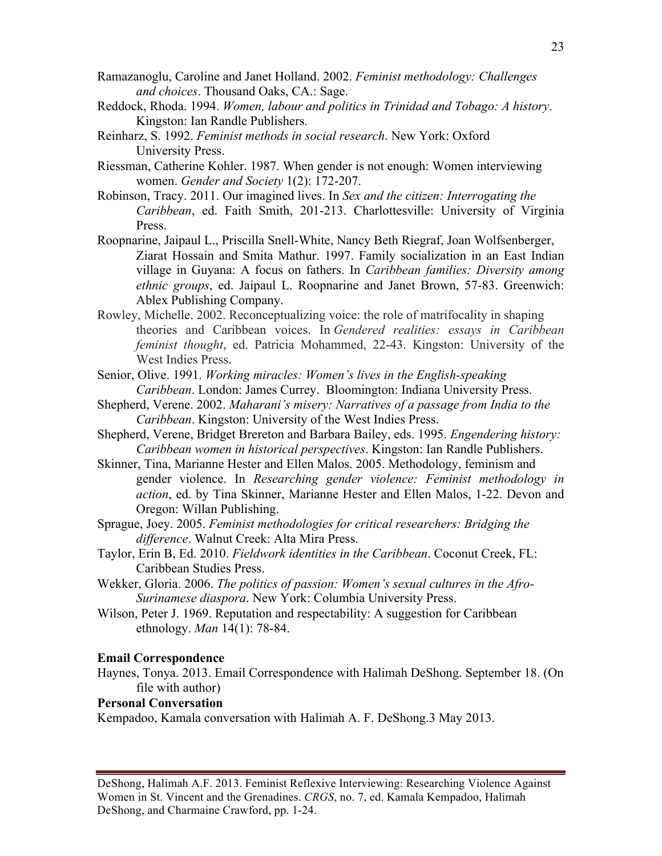- Ramazanoglu, Caroline and Janet Holland. 2002. *Feminist methodology: Challenges and choices*. Thousand Oaks, CA.: Sage.
- Reddock, Rhoda. 1994. *Women, labour and politics in Trinidad and Tobago: A history*. Kingston: Ian Randle Publishers.
- Reinharz, S. 1992. *Feminist methods in social research*. New York: Oxford University Press.
- Riessman, Catherine Kohler. 1987. When gender is not enough: Women interviewing women. *Gender and Society* 1(2): 172-207.
- Robinson, Tracy. 2011. Our imagined lives. In *Sex and the citizen: Interrogating the Caribbean*, ed. Faith Smith, 201-213. Charlottesville: University of Virginia Press.
- Roopnarine, Jaipaul L., Priscilla Snell-White, Nancy Beth Riegraf, Joan Wolfsenberger, Ziarat Hossain and Smita Mathur. 1997. Family socialization in an East Indian village in Guyana: A focus on fathers. In *Caribbean families: Diversity among ethnic groups*, ed. Jaipaul L. Roopnarine and Janet Brown, 57-83. Greenwich: Ablex Publishing Company.
- Rowley, Michelle. 2002. Reconceptualizing voice: the role of matrifocality in shaping theories and Caribbean voices. In *Gendered realities: essays in Caribbean feminist thought*, ed. Patricia Mohammed, 22-43. Kingston: University of the West Indies Press.
- Senior, Olive. 1991. *Working miracles: Women's lives in the English-speaking Caribbean*. London: James Currey. Bloomington: Indiana University Press.
- Shepherd, Verene. 2002. *Maharani's misery: Narratives of a passage from India to the Caribbean*. Kingston: University of the West Indies Press.
- Shepherd, Verene, Bridget Brereton and Barbara Bailey, eds. 1995. *Engendering history: Caribbean women in historical perspectives*. Kingston: Ian Randle Publishers.
- Skinner, Tina, Marianne Hester and Ellen Malos. 2005. Methodology, feminism and gender violence. In *Researching gender violence: Feminist methodology in action*, ed. by Tina Skinner, Marianne Hester and Ellen Malos, 1-22. Devon and Oregon: Willan Publishing.
- Sprague, Joey. 2005. *Feminist methodologies for critical researchers: Bridging the difference*. Walnut Creek: Alta Mira Press.
- Taylor, Erin B, Ed. 2010. *Fieldwork identities in the Caribbean*. Coconut Creek, FL: Caribbean Studies Press.
- Wekker, Gloria. 2006. *The politics of passion: Women's sexual cultures in the Afro-Surinamese diaspora*. New York: Columbia University Press.
- Wilson, Peter J. 1969. Reputation and respectability: A suggestion for Caribbean ethnology. *Man* 14(1): 78-84.

#### **Email Correspondence**

Haynes, Tonya. 2013. Email Correspondence with Halimah DeShong. September 18. (On file with author)

## **Personal Conversation**

Kempadoo, Kamala conversation with Halimah A. F. DeShong.3 May 2013.